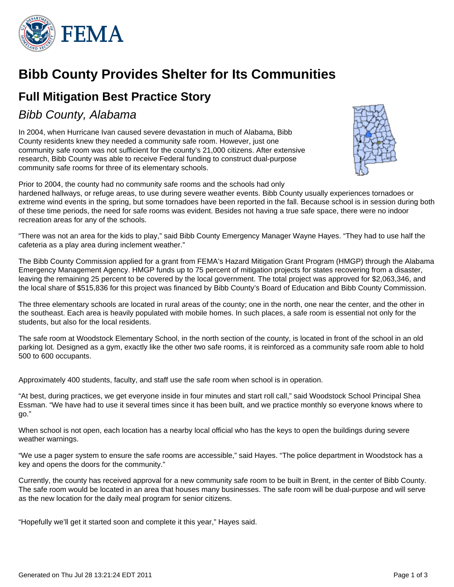

# **Bibb County Provides Shelter for Its Communities**

## **Full Mitigation Best Practice Story**

## Bibb County, Alabama

In 2004, when Hurricane Ivan caused severe devastation in much of Alabama, Bibb County residents knew they needed a community safe room. However, just one community safe room was not sufficient for the county's 21,000 citizens. After extensive research, Bibb County was able to receive Federal funding to construct dual-purpose community safe rooms for three of its elementary schools.



Prior to 2004, the county had no community safe rooms and the schools had only hardened hallways, or refuge areas, to use during severe weather events. Bibb County usually experiences tornadoes or extreme wind events in the spring, but some tornadoes have been reported in the fall. Because school is in session during both of these time periods, the need for safe rooms was evident. Besides not having a true safe space, there were no indoor recreation areas for any of the schools.

"There was not an area for the kids to play," said Bibb County Emergency Manager Wayne Hayes. "They had to use half the cafeteria as a play area during inclement weather."

The Bibb County Commission applied for a grant from FEMA's Hazard Mitigation Grant Program (HMGP) through the Alabama Emergency Management Agency. HMGP funds up to 75 percent of mitigation projects for states recovering from a disaster, leaving the remaining 25 percent to be covered by the local government. The total project was approved for \$2,063,346, and the local share of \$515,836 for this project was financed by Bibb County's Board of Education and Bibb County Commission.

The three elementary schools are located in rural areas of the county; one in the north, one near the center, and the other in the southeast. Each area is heavily populated with mobile homes. In such places, a safe room is essential not only for the students, but also for the local residents.

The safe room at Woodstock Elementary School, in the north section of the county, is located in front of the school in an old parking lot. Designed as a gym, exactly like the other two safe rooms, it is reinforced as a community safe room able to hold 500 to 600 occupants.

Approximately 400 students, faculty, and staff use the safe room when school is in operation.

"At best, during practices, we get everyone inside in four minutes and start roll call," said Woodstock School Principal Shea Essman. "We have had to use it several times since it has been built, and we practice monthly so everyone knows where to go."

When school is not open, each location has a nearby local official who has the keys to open the buildings during severe weather warnings.

"We use a pager system to ensure the safe rooms are accessible," said Hayes. "The police department in Woodstock has a key and opens the doors for the community."

Currently, the county has received approval for a new community safe room to be built in Brent, in the center of Bibb County. The safe room would be located in an area that houses many businesses. The safe room will be dual-purpose and will serve as the new location for the daily meal program for senior citizens.

"Hopefully we'll get it started soon and complete it this year," Hayes said.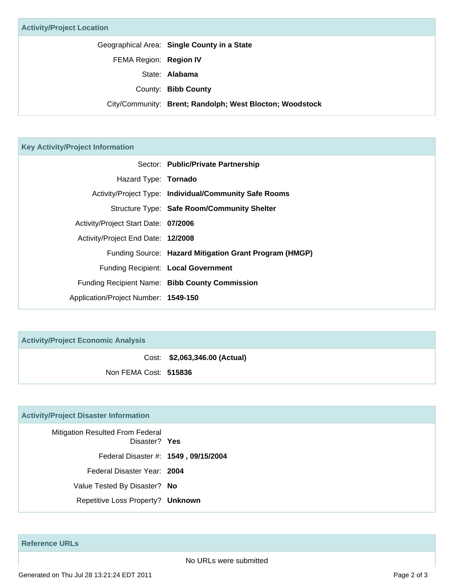#### **Key Activity/Project Information**

|                                      | Sector: Public/Private Partnership                     |
|--------------------------------------|--------------------------------------------------------|
| Hazard Type: Tornado                 |                                                        |
|                                      | Activity/Project Type: Individual/Community Safe Rooms |
|                                      | Structure Type: Safe Room/Community Shelter            |
| Activity/Project Start Date: 07/2006 |                                                        |
| Activity/Project End Date: 12/2008   |                                                        |
|                                      | Funding Source: Hazard Mitigation Grant Program (HMGP) |
|                                      | Funding Recipient: Local Government                    |
|                                      | Funding Recipient Name: Bibb County Commission         |
| Application/Project Number: 1549-150 |                                                        |

**Activity/Project Economic Analysis**

Cost: **\$2,063,346.00 (Actual)**

Non FEMA Cost: **515836**

### **Activity/Project Disaster Information**

| Mitigation Resulted From Federal<br>Disaster? Yes |  |
|---------------------------------------------------|--|
| Federal Disaster #: 1549, 09/15/2004              |  |
| Federal Disaster Year: 2004                       |  |
| Value Tested By Disaster? No                      |  |
| Repetitive Loss Property? Unknown                 |  |

**Reference URLs**